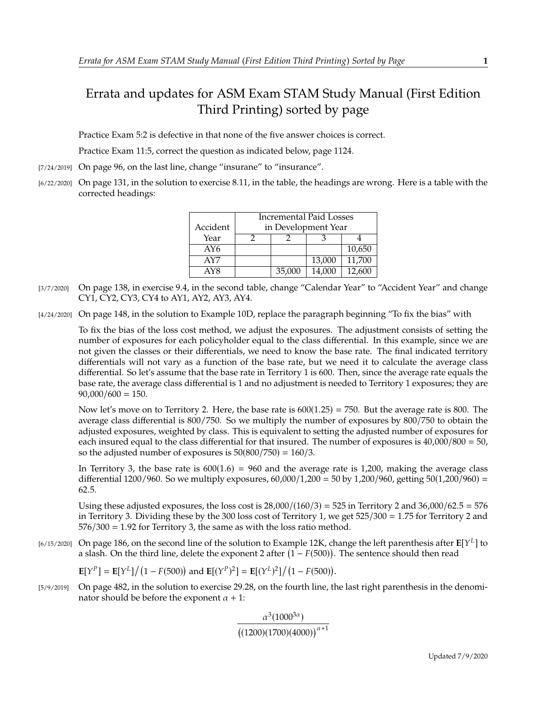## Errata and updates for ASM Exam STAM Study Manual (First Edition Third Printing) sorted by page

Practice Exam 5:2 is defective in that none of the five answer choices is correct.

Practice Exam 11:5, correct the question as indicated below, page 1124.

- [7/24/2019] On page 96, on the last line, change "insurane" to "insurance".
- [6/22/2020] On page 131, in the solution to exercise 8.11, in the table, the headings are wrong. Here is a table with the corrected headings:

|          | Incremental Paid Losses |        |        |        |
|----------|-------------------------|--------|--------|--------|
| Accident | in Development Year     |        |        |        |
| Year     |                         |        |        |        |
| AY6      |                         |        |        | 10,650 |
| AY7      |                         |        | 13,000 | 11,700 |
| AY8      |                         | 35,000 | 14.000 | 12.600 |

- [3/7/2020] On page 138, in exercise 9.4, in the second table, change "Calendar Year" to "Accident Year" and change CY1, CY2, CY3, CY4 to AY1, AY2, AY3, AY4.
- [4/24/2020] On page 148, in the solution to Example 10D, replace the paragraph beginning "To fix the bias" with

To fix the bias of the loss cost method, we adjust the exposures. The adjustment consists of setting the number of exposures for each policyholder equal to the class differential. In this example, since we are not given the classes or their differentials, we need to know the base rate. The final indicated territory differentials will not vary as a function of the base rate, but we need it to calculate the average class differential. So let's assume that the base rate in Territory 1 is 600. Then, since the average rate equals the base rate, the average class differential is 1 and no adjustment is needed to Territory 1 exposures; they are  $90,000/600 = 150.$ 

Now let's move on to Territory 2. Here, the base rate is  $600(1.25) = 750$ . But the average rate is 800. The average class differential is 800/750. So we multiply the number of exposures by 800/750 to obtain the adjusted exposures, weighted by class. This is equivalent to setting the adjusted number of exposures for each insured equal to the class differential for that insured. The number of exposures is <sup>40</sup>,000/<sup>800</sup> <sup>=</sup> 50, so the adjusted number of exposures is  $50(800/750) = 160/3$ .

In Territory 3, the base rate is  $600(1.6) = 960$  and the average rate is 1,200, making the average class differential 1200/960. So we multiply exposures,  $60,000/1,200 = 50$  by 1,200/960, getting  $50(1,200/960) =$ <sup>62</sup>.5.

Using these adjusted exposures, the loss cost is  $28,000/(160/3) = 525$  in Territory 2 and  $36,000/62.5 = 576$ in Territory 3. Dividing these by the 300 loss cost of Territory 1, we get <sup>525</sup>/<sup>300</sup> <sup>=</sup> <sup>1</sup>.<sup>75</sup> for Territory 2 and  $576/300 = 1.92$  for Territory 3, the same as with the loss ratio method.

[6/15/2020] On page 186, on the second line of the solution to Example 12K, change the left parenthesis after  $\mathbb{E}[Y^L]$  to a slash. On the third line, delete the exponent 2 after  $(1 - E(500))$ . The sentence should then r a slash. On the third line, delete the exponent 2 after  $(1 - F(500))$ . The sentence should then read

$$
\mathbf{E}[Y^P] = \mathbf{E}[Y^L]/(1 - F(500)) \text{ and } \mathbf{E}[(Y^P)^2] = \mathbf{E}[(Y^L)^2]/(1 - F(500)).
$$

[5/9/2019] On page 482, in the solution to exercise 29.28, on the fourth line, the last right parenthesis in the denominator should be before the exponent  $\alpha + 1$ :

$$
\frac{\alpha^3(1000^{3\alpha})}{\big((1200)(1700)(4000)\big)^{\alpha+1}}
$$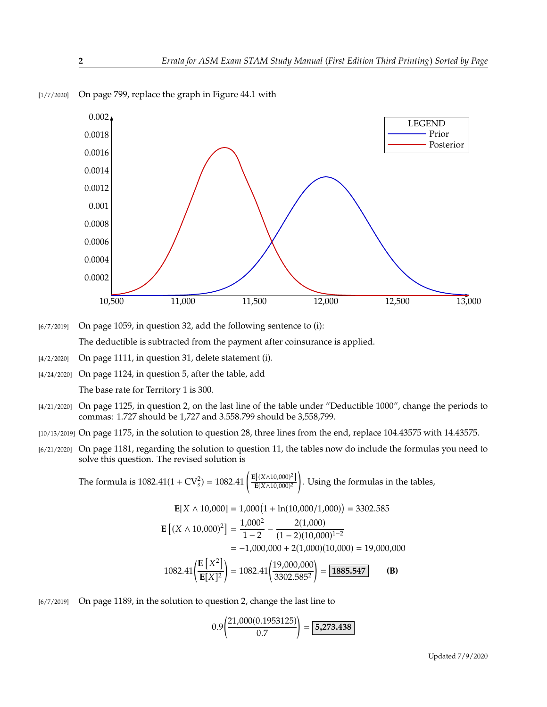

[1/7/2020] On page 799, replace the graph in Figure 44.1 with

[6/7/2019] On page 1059, in question 32, add the following sentence to (i): The deductible is subtracted from the payment after coinsurance is applied.

- [4/2/2020] On page 1111, in question 31, delete statement (i).
- [4/24/2020] On page 1124, in question 5, after the table, add The base rate for Territory 1 is 300.
- [4/21/2020] On page 1125, in question 2, on the last line of the table under "Deductible 1000", change the periods to commas: 1.727 should be 1,727 and 3.558.799 should be 3,558,799.
- [10/13/2019] On page 1175, in the solution to question 28, three lines from the end, replace 104.43575 with 14.43575.
- [6/21/2020] On page 1181, regarding the solution to question 11, the tables now do include the formulas you need to solve this question. The revised solution is

The formula is 1082.41(1 + CV<sub>s</sub><sup>2</sup>) = 1082.41 
$$
\left( \frac{E[(X \wedge 10,000)^2]}{E(X \wedge 10,000)^2} \right)
$$
. Using the formulas in the tables,

$$
\mathbf{E}[X \wedge 10,000] = 1,000(1 + \ln(10,000/1,000)) = 3302.585
$$
  
\n
$$
\mathbf{E}[(X \wedge 10,000)^2] = \frac{1,000^2}{1-2} - \frac{2(1,000)}{(1-2)(10,000)^{1-2}}
$$
  
\n
$$
= -1,000,000 + 2(1,000)(10,000) = 19,000,000
$$
  
\n
$$
1082.41\left(\frac{\mathbf{E}[X^2]}{\mathbf{E}[X]^2}\right) = 1082.41\left(\frac{19,000,000}{3302.585^2}\right) = \boxed{1885.547}
$$
 (B)

[6/7/2019] On page 1189, in the solution to question 2, change the last line to

$$
0.9 \left( \frac{21,000(0.1953125)}{0.7} \right) = \boxed{5,273.438}
$$